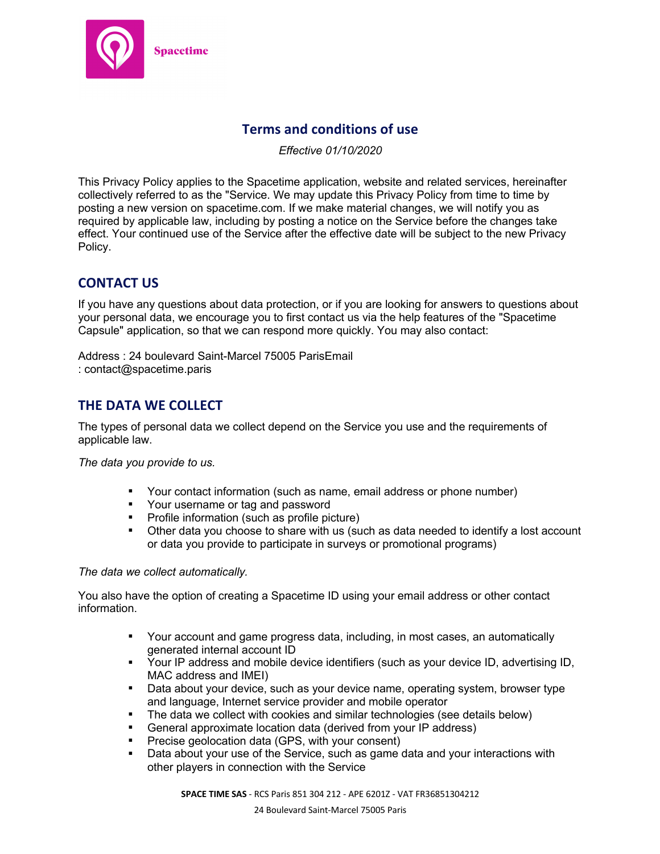

# **Terms and conditions of use**

*Effective 01/10/2020*

This Privacy Policy applies to the Spacetime application, website and related services, hereinafter collectively referred to as the "Service. We may update this Privacy Policy from time to time by posting a new version on spacetime.com. If we make material changes, we will notify you as required by applicable law, including by posting a notice on the Service before the changes take effect. Your continued use of the Service after the effective date will be subject to the new Privacy Policy.

# **CONTACT US**

If you have any questions about data protection, or if you are looking for answers to questions about your personal data, we encourage you to first contact us via the help features of the "Spacetime Capsule" application, so that we can respond more quickly. You may also contact:

Address : 24 boulevard Saint-Marcel 75005 ParisEmail : contact@spacetime.paris

# **THE DATA WE COLLECT**

The types of personal data we collect depend on the Service you use and the requirements of applicable law.

*The data you provide to us.*

- § Your contact information (such as name, email address or phone number)
- § Your username or tag and password
- Profile information (such as profile picture)
- Other data you choose to share with us (such as data needed to identify a lost account or data you provide to participate in surveys or promotional programs)

### *The data we collect automatically.*

You also have the option of creating a Spacetime ID using your email address or other contact information.

- § Your account and game progress data, including, in most cases, an automatically generated internal account ID
- Your IP address and mobile device identifiers (such as your device ID, advertising ID, MAC address and IMEI)
- Data about your device, such as your device name, operating system, browser type and language, Internet service provider and mobile operator
- § The data we collect with cookies and similar technologies (see details below)
- General approximate location data (derived from your IP address)
- § Precise geolocation data (GPS, with your consent)
- Data about your use of the Service, such as game data and your interactions with other players in connection with the Service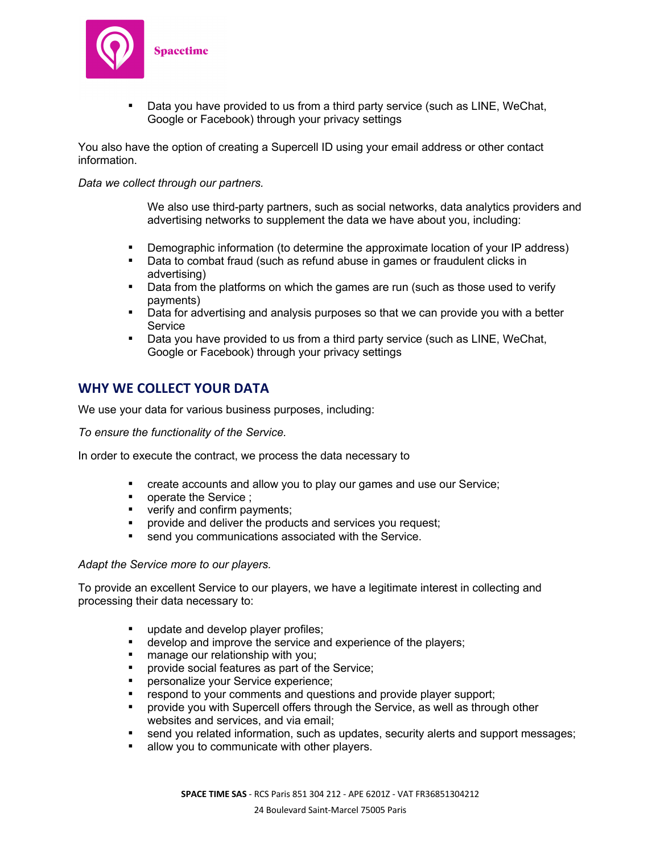

Data you have provided to us from a third party service (such as LINE, WeChat, Google or Facebook) through your privacy settings

You also have the option of creating a Supercell ID using your email address or other contact information.

#### *Data we collect through our partners.*

We also use third-party partners, such as social networks, data analytics providers and advertising networks to supplement the data we have about you, including:

- Demographic information (to determine the approximate location of your IP address)
- Data to combat fraud (such as refund abuse in games or fraudulent clicks in advertising)
- Data from the platforms on which the games are run (such as those used to verify payments)
- Data for advertising and analysis purposes so that we can provide you with a better Service
- Data you have provided to us from a third party service (such as LINE, WeChat, Google or Facebook) through your privacy settings

# **WHY WE COLLECT YOUR DATA**

We use your data for various business purposes, including:

*To ensure the functionality of the Service.*

In order to execute the contract, we process the data necessary to

- § create accounts and allow you to play our games and use our Service;
- operate the Service ;
- verify and confirm payments;
- § provide and deliver the products and services you request;
- send you communications associated with the Service.

#### *Adapt the Service more to our players.*

To provide an excellent Service to our players, we have a legitimate interest in collecting and processing their data necessary to:

- update and develop player profiles;
- develop and improve the service and experience of the players;
- manage our relationship with you;
- § provide social features as part of the Service;
- § personalize your Service experience;
- respond to your comments and questions and provide player support;
- § provide you with Supercell offers through the Service, as well as through other websites and services, and via email;
- send you related information, such as updates, security alerts and support messages;
- allow you to communicate with other players.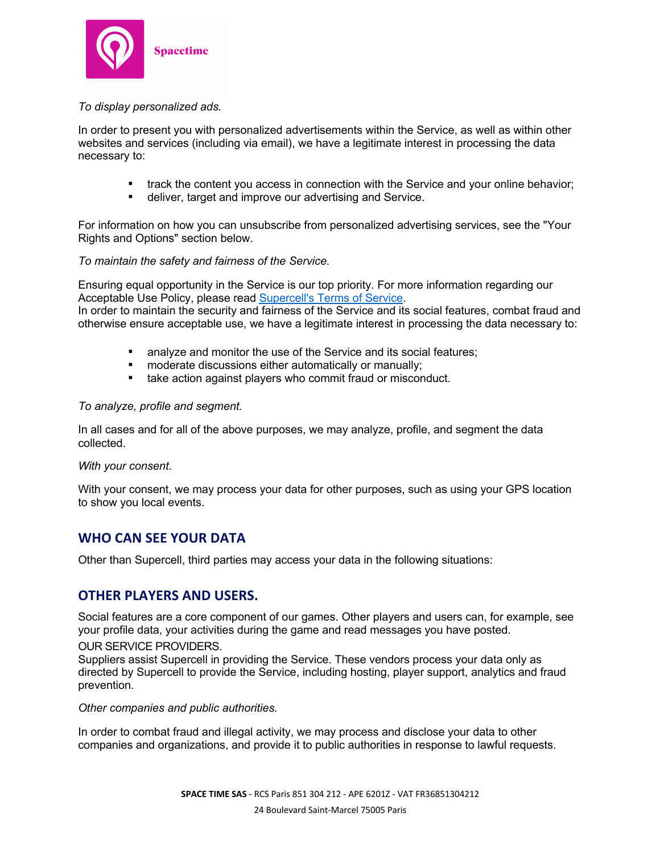

## *To display personalized ads.*

In order to present you with personalized advertisements within the Service, as well as within other websites and services (including via email), we have a legitimate interest in processing the data necessary to:

- track the content you access in connection with the Service and your online behavior;
- deliver, target and improve our advertising and Service.

For information on how you can unsubscribe from personalized advertising services, see the "Your Rights and Options" section below.

### *To maintain the safety and fairness of the Service.*

Ensuring equal opportunity in the Service is our top priority. For more information regarding our Acceptable Use Policy, please read Supercell's Terms of Service.

In order to maintain the security and fairness of the Service and its social features, combat fraud and otherwise ensure acceptable use, we have a legitimate interest in processing the data necessary to:

- analyze and monitor the use of the Service and its social features;
- moderate discussions either automatically or manually;
- take action against players who commit fraud or misconduct.

#### *To analyze, profile and segment.*

In all cases and for all of the above purposes, we may analyze, profile, and segment the data collected.

*With your consent.*

With your consent, we may process your data for other purposes, such as using your GPS location to show you local events.

## **WHO CAN SEE YOUR DATA**

Other than Supercell, third parties may access your data in the following situations:

## **OTHER PLAYERS AND USERS.**

Social features are a core component of our games. Other players and users can, for example, see your profile data, your activities during the game and read messages you have posted.

#### OUR SERVICE PROVIDERS.

Suppliers assist Supercell in providing the Service. These vendors process your data only as directed by Supercell to provide the Service, including hosting, player support, analytics and fraud prevention.

*Other companies and public authorities.*

In order to combat fraud and illegal activity, we may process and disclose your data to other companies and organizations, and provide it to public authorities in response to lawful requests.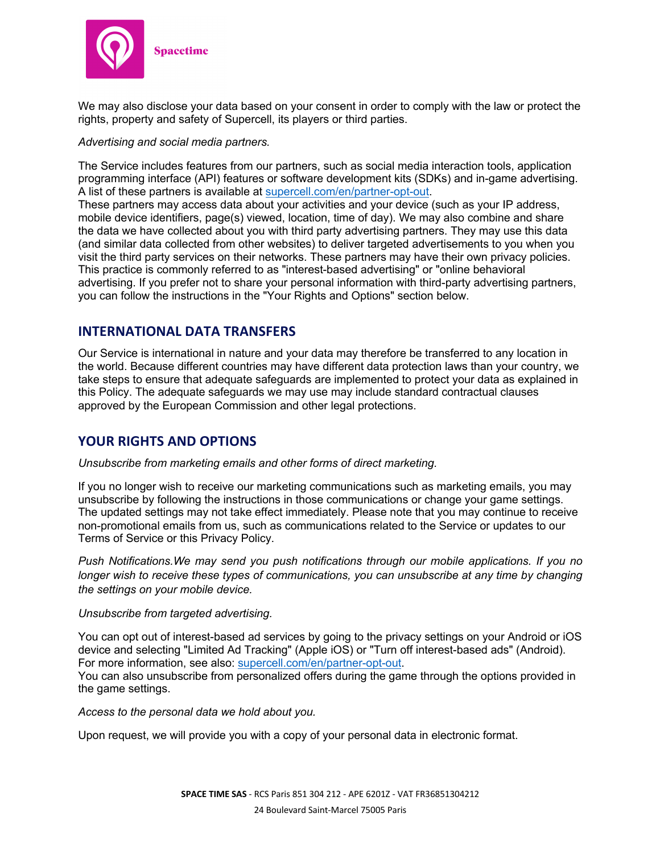

We may also disclose your data based on your consent in order to comply with the law or protect the rights, property and safety of Supercell, its players or third parties.

#### *Advertising and social media partners.*

The Service includes features from our partners, such as social media interaction tools, application programming interface (API) features or software development kits (SDKs) and in-game advertising. A list of these partners is available at supercell.com/en/partner-opt-out.

These partners may access data about your activities and your device (such as your IP address, mobile device identifiers, page(s) viewed, location, time of day). We may also combine and share the data we have collected about you with third party advertising partners. They may use this data (and similar data collected from other websites) to deliver targeted advertisements to you when you visit the third party services on their networks. These partners may have their own privacy policies. This practice is commonly referred to as "interest-based advertising" or "online behavioral advertising. If you prefer not to share your personal information with third-party advertising partners, you can follow the instructions in the "Your Rights and Options" section below.

## **INTERNATIONAL DATA TRANSFERS**

Our Service is international in nature and your data may therefore be transferred to any location in the world. Because different countries may have different data protection laws than your country, we take steps to ensure that adequate safeguards are implemented to protect your data as explained in this Policy. The adequate safeguards we may use may include standard contractual clauses approved by the European Commission and other legal protections.

## **YOUR RIGHTS AND OPTIONS**

### *Unsubscribe from marketing emails and other forms of direct marketing.*

If you no longer wish to receive our marketing communications such as marketing emails, you may unsubscribe by following the instructions in those communications or change your game settings. The updated settings may not take effect immediately. Please note that you may continue to receive non-promotional emails from us, such as communications related to the Service or updates to our Terms of Service or this Privacy Policy.

*Push Notifications.We may send you push notifications through our mobile applications. If you no longer wish to receive these types of communications, you can unsubscribe at any time by changing the settings on your mobile device.*

### *Unsubscribe from targeted advertising.*

You can opt out of interest-based ad services by going to the privacy settings on your Android or iOS device and selecting "Limited Ad Tracking" (Apple iOS) or "Turn off interest-based ads" (Android). For more information, see also: supercell.com/en/partner-opt-out.

You can also unsubscribe from personalized offers during the game through the options provided in the game settings.

*Access to the personal data we hold about you.*

Upon request, we will provide you with a copy of your personal data in electronic format.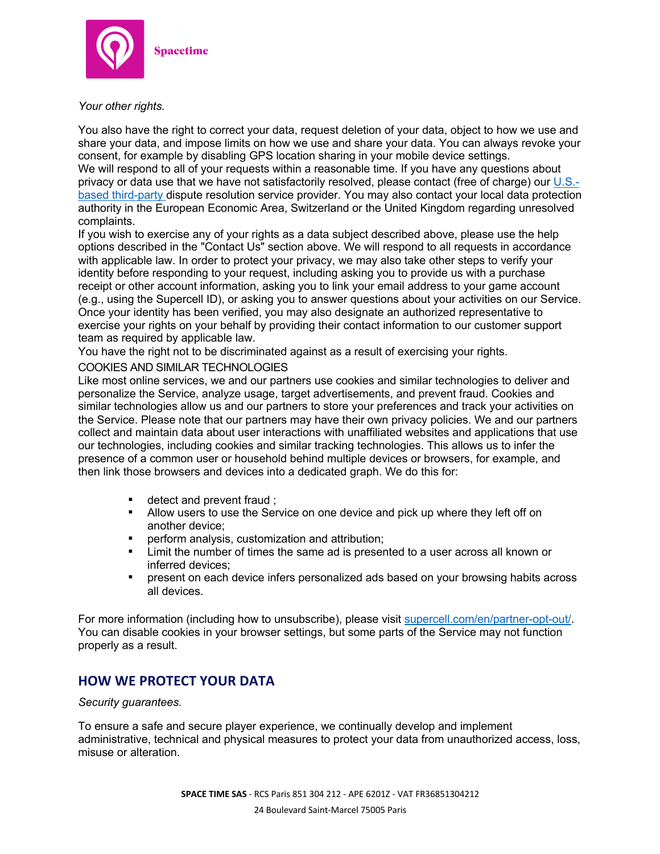

*Your other rights.*

You also have the right to correct your data, request deletion of your data, object to how we use and share your data, and impose limits on how we use and share your data. You can always revoke your consent, for example by disabling GPS location sharing in your mobile device settings. We will respond to all of your requests within a reasonable time. If you have any questions about privacy or data use that we have not satisfactorily resolved, please contact (free of charge) our U.S. based third-party dispute resolution service provider. You may also contact your local data protection authority in the European Economic Area, Switzerland or the United Kingdom regarding unresolved complaints.

If you wish to exercise any of your rights as a data subject described above, please use the help options described in the "Contact Us" section above. We will respond to all requests in accordance with applicable law. In order to protect your privacy, we may also take other steps to verify your identity before responding to your request, including asking you to provide us with a purchase receipt or other account information, asking you to link your email address to your game account (e.g., using the Supercell ID), or asking you to answer questions about your activities on our Service. Once your identity has been verified, you may also designate an authorized representative to exercise your rights on your behalf by providing their contact information to our customer support team as required by applicable law.

You have the right not to be discriminated against as a result of exercising your rights.

## COOKIES AND SIMILAR TECHNOLOGIES

Like most online services, we and our partners use cookies and similar technologies to deliver and personalize the Service, analyze usage, target advertisements, and prevent fraud. Cookies and similar technologies allow us and our partners to store your preferences and track your activities on the Service. Please note that our partners may have their own privacy policies. We and our partners collect and maintain data about user interactions with unaffiliated websites and applications that use our technologies, including cookies and similar tracking technologies. This allows us to infer the presence of a common user or household behind multiple devices or browsers, for example, and then link those browsers and devices into a dedicated graph. We do this for:

- detect and prevent fraud :
- Allow users to use the Service on one device and pick up where they left off on another device;
- perform analysis, customization and attribution;
- § Limit the number of times the same ad is presented to a user across all known or inferred devices;
- § present on each device infers personalized ads based on your browsing habits across all devices.

For more information (including how to unsubscribe), please visit supercell.com/en/partner-opt-out/. You can disable cookies in your browser settings, but some parts of the Service may not function properly as a result.

# **HOW WE PROTECT YOUR DATA**

*Security guarantees.*

To ensure a safe and secure player experience, we continually develop and implement administrative, technical and physical measures to protect your data from unauthorized access, loss, misuse or alteration.